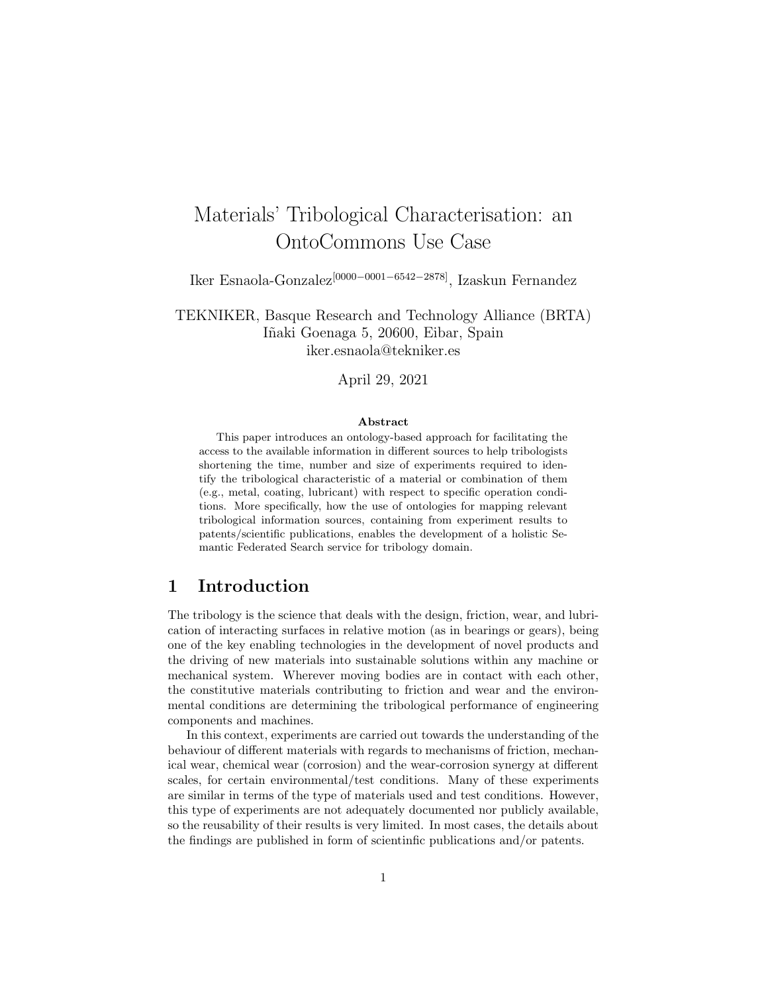# Materials' Tribological Characterisation: an OntoCommons Use Case

Iker Esnaola-Gonzalez[0000−0001−6542−2878], Izaskun Fernandez

TEKNIKER, Basque Research and Technology Alliance (BRTA) I˜naki Goenaga 5, 20600, Eibar, Spain iker.esnaola@tekniker.es

April 29, 2021

#### Abstract

This paper introduces an ontology-based approach for facilitating the access to the available information in different sources to help tribologists shortening the time, number and size of experiments required to identify the tribological characteristic of a material or combination of them (e.g., metal, coating, lubricant) with respect to specific operation conditions. More specifically, how the use of ontologies for mapping relevant tribological information sources, containing from experiment results to patents/scientific publications, enables the development of a holistic Semantic Federated Search service for tribology domain.

## 1 Introduction

The tribology is the science that deals with the design, friction, wear, and lubrication of interacting surfaces in relative motion (as in bearings or gears), being one of the key enabling technologies in the development of novel products and the driving of new materials into sustainable solutions within any machine or mechanical system. Wherever moving bodies are in contact with each other, the constitutive materials contributing to friction and wear and the environmental conditions are determining the tribological performance of engineering components and machines.

In this context, experiments are carried out towards the understanding of the behaviour of different materials with regards to mechanisms of friction, mechanical wear, chemical wear (corrosion) and the wear-corrosion synergy at different scales, for certain environmental/test conditions. Many of these experiments are similar in terms of the type of materials used and test conditions. However, this type of experiments are not adequately documented nor publicly available, so the reusability of their results is very limited. In most cases, the details about the findings are published in form of scientinfic publications and/or patents.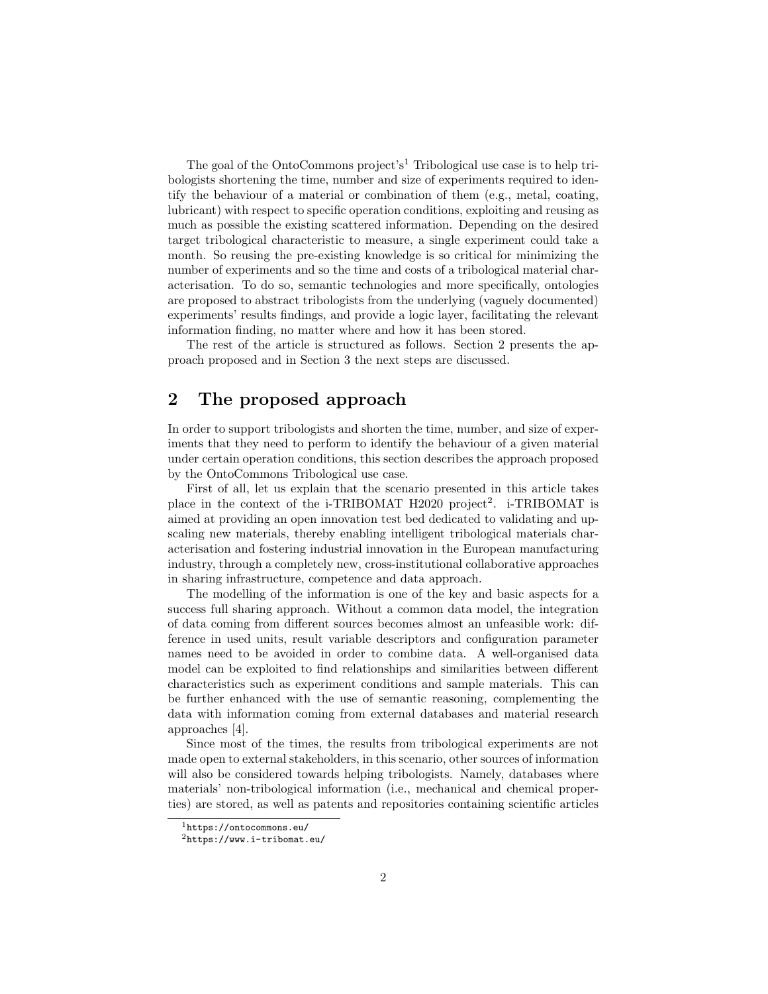The goal of the OntoCommons project's<sup>1</sup> Tribological use case is to help tribologists shortening the time, number and size of experiments required to identify the behaviour of a material or combination of them (e.g., metal, coating, lubricant) with respect to specific operation conditions, exploiting and reusing as much as possible the existing scattered information. Depending on the desired target tribological characteristic to measure, a single experiment could take a month. So reusing the pre-existing knowledge is so critical for minimizing the number of experiments and so the time and costs of a tribological material characterisation. To do so, semantic technologies and more specifically, ontologies are proposed to abstract tribologists from the underlying (vaguely documented) experiments' results findings, and provide a logic layer, facilitating the relevant information finding, no matter where and how it has been stored.

The rest of the article is structured as follows. Section 2 presents the approach proposed and in Section 3 the next steps are discussed.

# 2 The proposed approach

In order to support tribologists and shorten the time, number, and size of experiments that they need to perform to identify the behaviour of a given material under certain operation conditions, this section describes the approach proposed by the OntoCommons Tribological use case.

First of all, let us explain that the scenario presented in this article takes place in the context of the i-TRIBOMAT H2020 project<sup>2</sup>. i-TRIBOMAT is aimed at providing an open innovation test bed dedicated to validating and upscaling new materials, thereby enabling intelligent tribological materials characterisation and fostering industrial innovation in the European manufacturing industry, through a completely new, cross-institutional collaborative approaches in sharing infrastructure, competence and data approach.

The modelling of the information is one of the key and basic aspects for a success full sharing approach. Without a common data model, the integration of data coming from different sources becomes almost an unfeasible work: difference in used units, result variable descriptors and configuration parameter names need to be avoided in order to combine data. A well-organised data model can be exploited to find relationships and similarities between different characteristics such as experiment conditions and sample materials. This can be further enhanced with the use of semantic reasoning, complementing the data with information coming from external databases and material research approaches [4].

Since most of the times, the results from tribological experiments are not made open to external stakeholders, in this scenario, other sources of information will also be considered towards helping tribologists. Namely, databases where materials' non-tribological information (i.e., mechanical and chemical properties) are stored, as well as patents and repositories containing scientific articles

<sup>1</sup>https://ontocommons.eu/

 $^{2}$ https://www.i-tribomat.eu/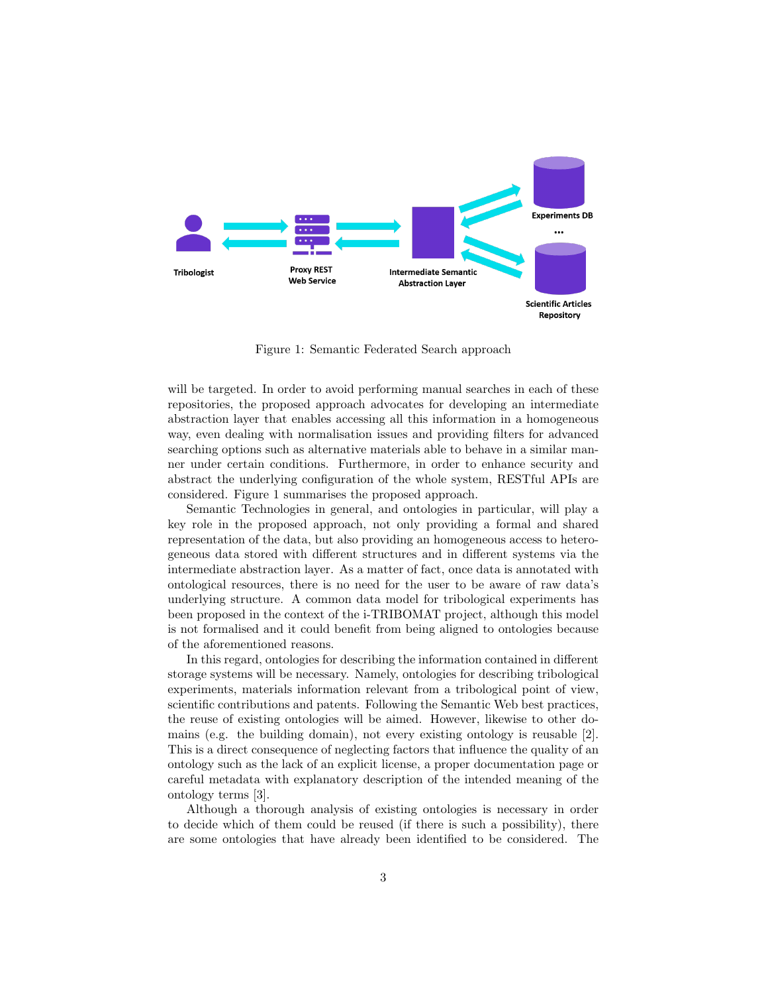

Figure 1: Semantic Federated Search approach

will be targeted. In order to avoid performing manual searches in each of these repositories, the proposed approach advocates for developing an intermediate abstraction layer that enables accessing all this information in a homogeneous way, even dealing with normalisation issues and providing filters for advanced searching options such as alternative materials able to behave in a similar manner under certain conditions. Furthermore, in order to enhance security and abstract the underlying configuration of the whole system, RESTful APIs are considered. Figure 1 summarises the proposed approach.

Semantic Technologies in general, and ontologies in particular, will play a key role in the proposed approach, not only providing a formal and shared representation of the data, but also providing an homogeneous access to heterogeneous data stored with different structures and in different systems via the intermediate abstraction layer. As a matter of fact, once data is annotated with ontological resources, there is no need for the user to be aware of raw data's underlying structure. A common data model for tribological experiments has been proposed in the context of the i-TRIBOMAT project, although this model is not formalised and it could benefit from being aligned to ontologies because of the aforementioned reasons.

In this regard, ontologies for describing the information contained in different storage systems will be necessary. Namely, ontologies for describing tribological experiments, materials information relevant from a tribological point of view, scientific contributions and patents. Following the Semantic Web best practices, the reuse of existing ontologies will be aimed. However, likewise to other domains (e.g. the building domain), not every existing ontology is reusable [2]. This is a direct consequence of neglecting factors that influence the quality of an ontology such as the lack of an explicit license, a proper documentation page or careful metadata with explanatory description of the intended meaning of the ontology terms [3].

Although a thorough analysis of existing ontologies is necessary in order to decide which of them could be reused (if there is such a possibility), there are some ontologies that have already been identified to be considered. The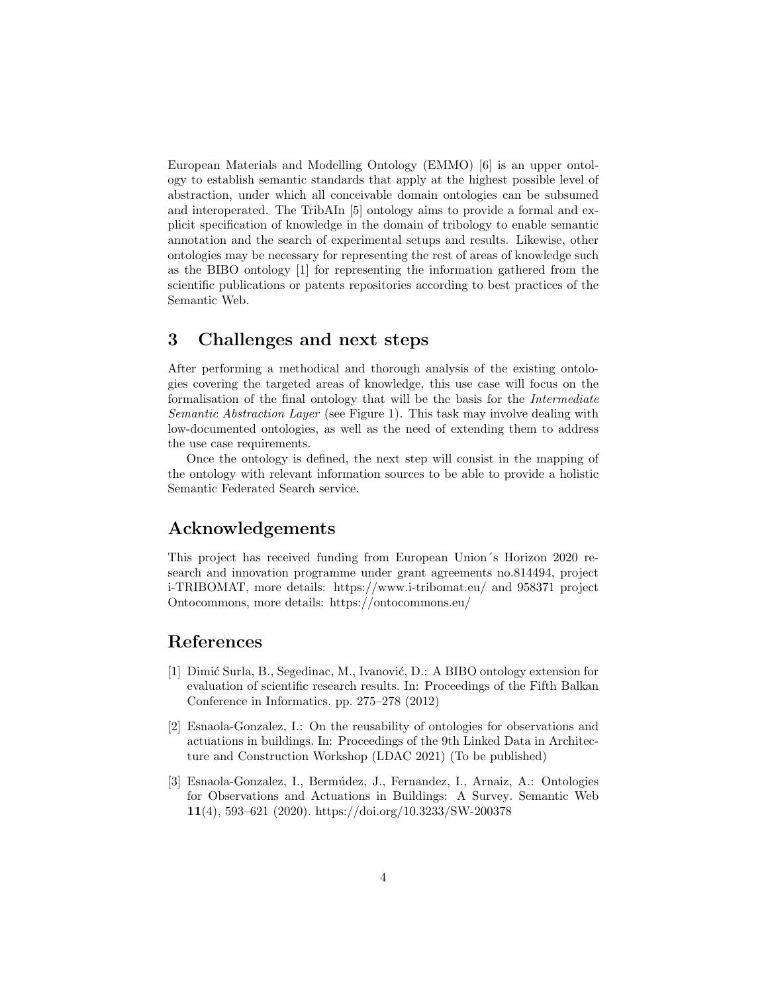European Materials and Modelling Ontology (EMMO) [6] is an upper ontology to establish semantic standards that apply at the highest possible level of abstraction, under which all conceivable domain ontologies can be subsumed and interoperated. The TribAIn [5] ontology aims to provide a formal and explicit specification of knowledge in the domain of tribology to enable semantic annotation and the search of experimental setups and results. Likewise, other ontologies may be necessary for representing the rest of areas of knowledge such as the BIBO ontology [1] for representing the information gathered from the scientific publications or patents repositories according to best practices of the Semantic Web.

## 3 Challenges and next steps

After performing a methodical and thorough analysis of the existing ontologies covering the targeted areas of knowledge, this use case will focus on the formalisation of the final ontology that will be the basis for the Intermediate Semantic Abstraction Layer (see Figure 1). This task may involve dealing with low-documented ontologies, as well as the need of extending them to address the use case requirements.

Once the ontology is defined, the next step will consist in the mapping of the ontology with relevant information sources to be able to provide a holistic Semantic Federated Search service.

#### Acknowledgements

This project has received funding from European Union´s Horizon 2020 research and innovation programme under grant agreements no.814494, project i-TRIBOMAT, more details: https://www.i-tribomat.eu/ and 958371 project Ontocommons, more details: https://ontocommons.eu/

# References

- [1] Dimić Surla, B., Segedinac, M., Ivanović, D.: A BIBO ontology extension for evaluation of scientific research results. In: Proceedings of the Fifth Balkan Conference in Informatics. pp. 275–278 (2012)
- [2] Esnaola-Gonzalez, I.: On the reusability of ontologies for observations and actuations in buildings. In: Proceedings of the 9th Linked Data in Architecture and Construction Workshop (LDAC 2021) (To be published)
- [3] Esnaola-Gonzalez, I., Bermúdez, J., Fernandez, I., Arnaiz, A.: Ontologies for Observations and Actuations in Buildings: A Survey. Semantic Web 11(4), 593–621 (2020). https://doi.org/10.3233/SW-200378